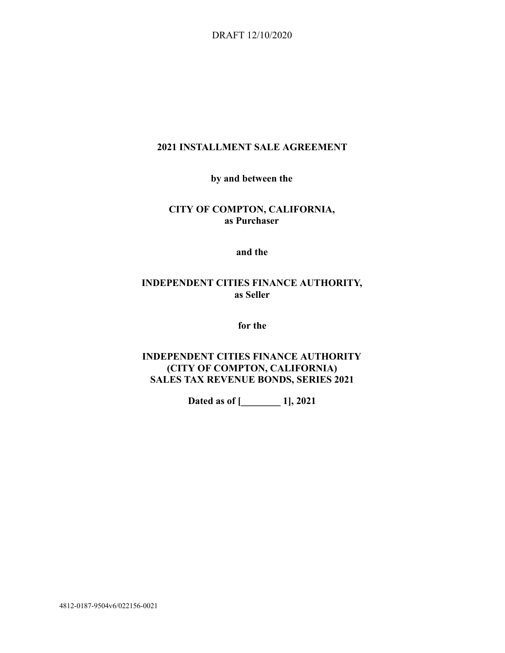DRAFT 12/10/2020

## **2021 INSTALLMENT SALE AGREEMENT**

**by and between the** 

## **CITY OF COMPTON, CALIFORNIA, as Purchaser**

**and the** 

# **INDEPENDENT CITIES FINANCE AUTHORITY, as Seller**

**for the** 

# **INDEPENDENT CITIES FINANCE AUTHORITY (CITY OF COMPTON, CALIFORNIA) SALES TAX REVENUE BONDS, SERIES 2021**

**Dated as of [\_\_\_\_\_\_\_\_ 1], 2021** 

4812-0187-9504v6/022156-0021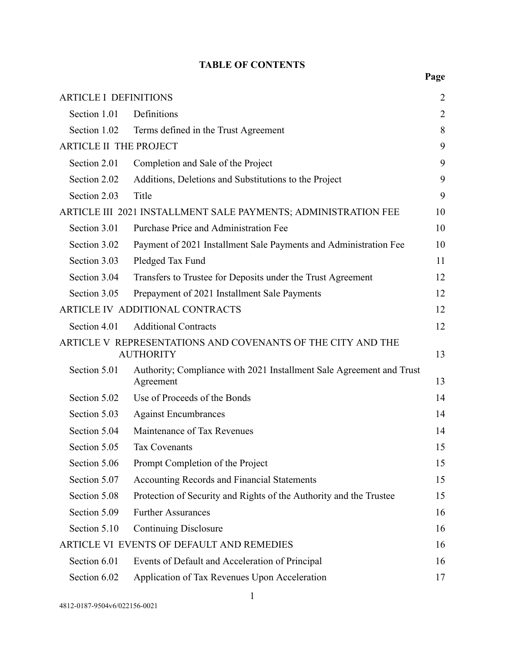# **TABLE OF CONTENTS**

| <b>ARTICLE I DEFINITIONS</b>                                                          |                                                                                   | $\overline{2}$ |  |  |  |
|---------------------------------------------------------------------------------------|-----------------------------------------------------------------------------------|----------------|--|--|--|
| Section 1.01                                                                          | Definitions                                                                       | $\overline{2}$ |  |  |  |
| Section 1.02                                                                          | Terms defined in the Trust Agreement                                              | 8              |  |  |  |
|                                                                                       | <b>ARTICLE II THE PROJECT</b><br>9                                                |                |  |  |  |
| Section 2.01                                                                          | Completion and Sale of the Project                                                | 9              |  |  |  |
| Section 2.02                                                                          | Additions, Deletions and Substitutions to the Project                             | 9              |  |  |  |
| Section 2.03                                                                          | Title                                                                             | 9              |  |  |  |
|                                                                                       | ARTICLE III 2021 INSTALLMENT SALE PAYMENTS; ADMINISTRATION FEE                    | 10             |  |  |  |
| Section 3.01                                                                          | Purchase Price and Administration Fee                                             | 10             |  |  |  |
| Section 3.02                                                                          | Payment of 2021 Installment Sale Payments and Administration Fee                  | 10             |  |  |  |
| Section 3.03                                                                          | Pledged Tax Fund                                                                  | 11             |  |  |  |
| Section 3.04                                                                          | Transfers to Trustee for Deposits under the Trust Agreement                       | 12             |  |  |  |
| Section 3.05                                                                          | Prepayment of 2021 Installment Sale Payments                                      | 12             |  |  |  |
|                                                                                       | ARTICLE IV ADDITIONAL CONTRACTS                                                   | 12             |  |  |  |
| Section 4.01                                                                          | <b>Additional Contracts</b>                                                       | 12             |  |  |  |
| ARTICLE V REPRESENTATIONS AND COVENANTS OF THE CITY AND THE<br><b>AUTHORITY</b><br>13 |                                                                                   |                |  |  |  |
| Section 5.01                                                                          | Authority; Compliance with 2021 Installment Sale Agreement and Trust<br>Agreement | 13             |  |  |  |
| Section 5.02                                                                          | Use of Proceeds of the Bonds                                                      | 14             |  |  |  |
| Section 5.03                                                                          | <b>Against Encumbrances</b>                                                       | 14             |  |  |  |
| Section 5.04                                                                          | Maintenance of Tax Revenues                                                       | 14             |  |  |  |
| Section 5.05                                                                          | <b>Tax Covenants</b>                                                              | 15             |  |  |  |
| Section 5.06                                                                          | Prompt Completion of the Project                                                  | 15             |  |  |  |
| Section 5.07                                                                          | Accounting Records and Financial Statements                                       | 15             |  |  |  |
| Section 5.08                                                                          | Protection of Security and Rights of the Authority and the Trustee                | 15             |  |  |  |
| Section 5.09                                                                          | <b>Further Assurances</b>                                                         | 16             |  |  |  |
| Section 5.10                                                                          | <b>Continuing Disclosure</b>                                                      | 16             |  |  |  |
|                                                                                       | ARTICLE VI EVENTS OF DEFAULT AND REMEDIES<br>16                                   |                |  |  |  |
| Section 6.01                                                                          | Events of Default and Acceleration of Principal                                   | 16             |  |  |  |
| Section 6.02                                                                          | Application of Tax Revenues Upon Acceleration                                     | 17             |  |  |  |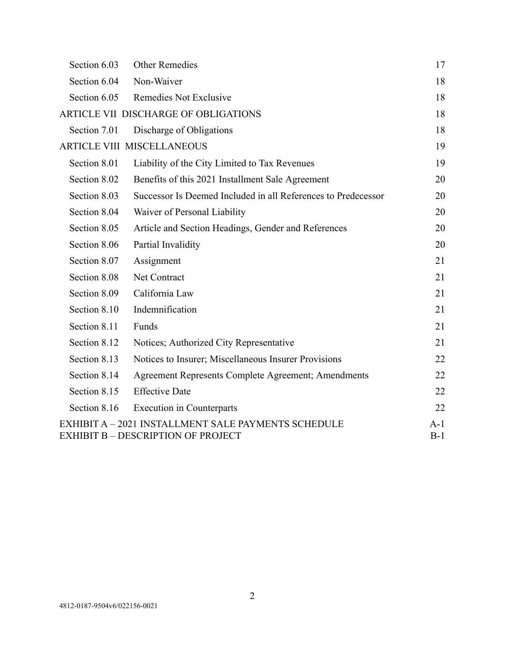| Section 6.03 | Other Remedies                                                                                          | 17             |
|--------------|---------------------------------------------------------------------------------------------------------|----------------|
| Section 6.04 | Non-Waiver                                                                                              | 18             |
| Section 6.05 | Remedies Not Exclusive                                                                                  | 18             |
|              | ARTICLE VII DISCHARGE OF OBLIGATIONS                                                                    | 18             |
| Section 7.01 | Discharge of Obligations                                                                                | 18             |
|              | <b>ARTICLE VIII MISCELLANEOUS</b>                                                                       | 19             |
| Section 8.01 | Liability of the City Limited to Tax Revenues                                                           | 19             |
| Section 8.02 | Benefits of this 2021 Installment Sale Agreement                                                        | 20             |
| Section 8.03 | Successor Is Deemed Included in all References to Predecessor                                           | 20             |
| Section 8.04 | Waiver of Personal Liability                                                                            | 20             |
| Section 8.05 | Article and Section Headings, Gender and References                                                     | 20             |
| Section 8.06 | Partial Invalidity                                                                                      | 20             |
| Section 8.07 | Assignment                                                                                              | 21             |
| Section 8.08 | Net Contract                                                                                            | 21             |
| Section 8.09 | California Law                                                                                          | 21             |
| Section 8.10 | Indemnification                                                                                         | 21             |
| Section 8.11 | Funds                                                                                                   | 21             |
| Section 8.12 | Notices; Authorized City Representative                                                                 | 21             |
| Section 8.13 | Notices to Insurer; Miscellaneous Insurer Provisions                                                    | 22             |
| Section 8.14 | Agreement Represents Complete Agreement; Amendments                                                     | 22             |
| Section 8.15 | <b>Effective Date</b>                                                                                   | 22             |
| Section 8.16 | <b>Execution</b> in Counterparts                                                                        | 22             |
|              | <b>EXHIBIT A - 2021 INSTALLMENT SALE PAYMENTS SCHEDULE</b><br><b>EXHIBIT B - DESCRIPTION OF PROJECT</b> | $A-1$<br>$B-1$ |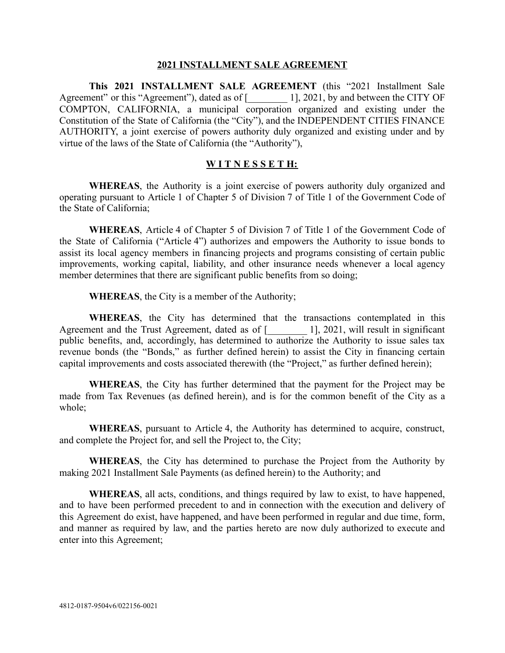### **2021 INSTALLMENT SALE AGREEMENT**

**This 2021 INSTALLMENT SALE AGREEMENT** (this "2021 Installment Sale Agreement" or this "Agreement"), dated as of [2021, by and between the CITY OF COMPTON, CALIFORNIA, a municipal corporation organized and existing under the Constitution of the State of California (the "City"), and the INDEPENDENT CITIES FINANCE AUTHORITY, a joint exercise of powers authority duly organized and existing under and by virtue of the laws of the State of California (the "Authority"),

### **W I T N E S S E T H:**

WHEREAS, the Authority is a joint exercise of powers authority duly organized and operating pursuant to Article 1 of Chapter 5 of Division 7 of Title 1 of the Government Code of the State of California;

**WHEREAS** , Article 4 of Chapter 5 of Division 7 of Title 1 of the Government Code of the State of California ("Article 4") authorizes and empowers the Authority to issue bonds to assist its local agency members in financing projects and programs consisting of certain public improvements, working capital, liability, and other insurance needs whenever a local agency member determines that there are significant public benefits from so doing;

**WHEREAS** , the City is a member of the Authority;

**WHEREAS** , the City has determined that the transactions contemplated in this Agreement and the Trust Agreement, dated as of  $\lbrack$   $\lbrack$   $\lbrack$   $\lbrack$   $\lbrack$   $\lbrack$   $\lbrack$   $\lbrack$   $\lbrack$   $\lbrack$   $\lbrack$   $\lbrack$   $\lbrack$   $\lbrack$   $\lbrack$   $\lbrack$   $\lbrack$   $\lbrack$   $\lbrack$   $\lbrack$   $\lbrack$   $\lbrack$   $\lbrack$   $\lbrack$   $\lbrack$ public benefits, and, accordingly, has determined to authorize the Authority to issue sales tax revenue bonds (the "Bonds," as further defined herein) to assist the City in financing certain capital improvements and costs associated therewith (the "Project," as further defined herein);

**WHEREAS**, the City has further determined that the payment for the Project may be made from Tax Revenues (as defined herein), and is for the common benefit of the City as a whole;

**WHEREAS** , pursuant to Article 4, the Authority has determined to acquire, construct, and complete the Project for, and sell the Project to, the City;

**WHEREAS**, the City has determined to purchase the Project from the Authority by making 2021 Installment Sale Payments (as defined herein) to the Authority; and

**WHEREAS** , all acts, conditions, and things required by law to exist, to have happened, and to have been performed precedent to and in connection with the execution and delivery of this Agreement do exist, have happened, and have been performed in regular and due time, form, and manner as required by law, and the parties hereto are now duly authorized to execute and enter into this Agreement;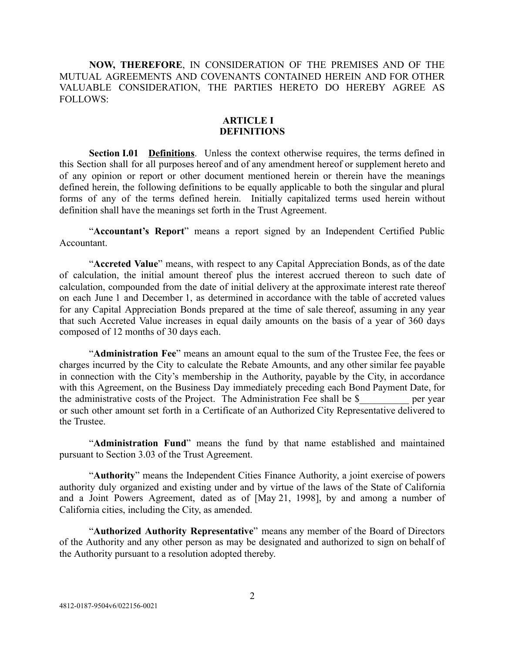**NOW, THEREFORE** , IN CONSIDERATION OF THE PREMISES AND OF THE MUTUAL AGREEMENTS AND COVENANTS CONTAINED HEREIN AND FOR OTHER VALUABLE CONSIDERATION, THE PARTIES HERETO DO HEREBY AGREE AS FOLLOWS:

### **ARTICLE I DEFINITIONS**

<span id="page-4-1"></span><span id="page-4-0"></span>**Section I.01 Definitions**. Unless the context otherwise requires, the terms defined in this Section shall for all purposes hereof and of any amendment hereof or supplement hereto and of any opinion or report or other document mentioned herein or therein have the meanings defined herein, the following definitions to be equally applicable to both the singular and plural forms of any of the terms defined herein. Initially capitalized terms used herein without definition shall have the meanings set forth in the Trust Agreement.

"Accountant's Report" means a report signed by an Independent Certified Public Accountant.

"Accreted Value" means, with respect to any Capital Appreciation Bonds, as of the date of calculation, the initial amount thereof plus the interest accrued thereon to such date of calculation, compounded from the date of initial delivery at the approximate interest rate thereof on each June 1 and December 1, as determined in accordance with the table of accreted values for any Capital Appreciation Bonds prepared at the time of sale thereof, assuming in any year that such Accreted Value increases in equal daily amounts on the basis of a year of 360 days composed of 12 months of 30 days each.

"Administration Fee" means an amount equal to the sum of the Trustee Fee, the fees or charges incurred by the City to calculate the Rebate Amounts, and any other similar fee payable in connection with the City's membership in the Authority, payable by the City, in accordance with this Agreement, on the Business Day immediately preceding each Bond Payment Date, for the administrative costs of the Project. The Administration Fee shall be \$ per year or such other amount set forth in a Certificate of an Authorized City Representative delivered to the Trustee.

"Administration Fund" means the fund by that name established and maintained pursuant to Section 3.03 of the Trust Agreement.

"Authority" means the Independent Cities Finance Authority, a joint exercise of powers authority duly organized and existing under and by virtue of the laws of the State of California and a Joint Powers Agreement, dated as of [May 21, 1998], by and among a number of California cities, including the City, as amended.

"Authorized Authority Representative" means any member of the Board of Directors of the Authority and any other person as may be designated and authorized to sign on behalf of the Authority pursuant to a resolution adopted thereby.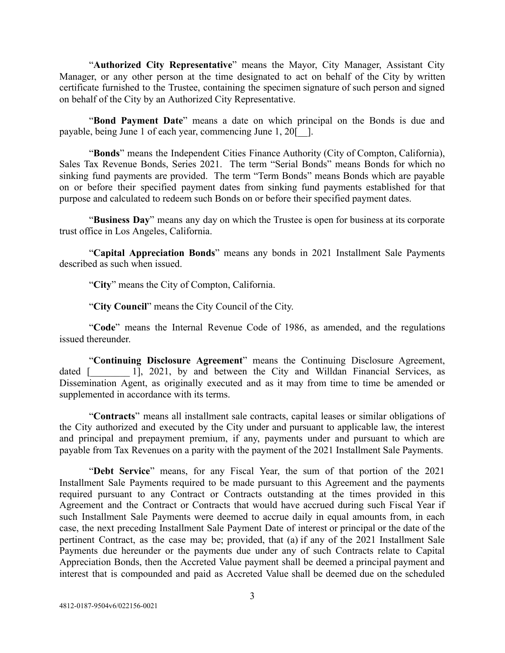"Authorized City Representative" means the Mayor, City Manager, Assistant City Manager, or any other person at the time designated to act on behalf of the City by written certificate furnished to the Trustee, containing the specimen signature of such person and signed on behalf of the City by an Authorized City Representative.

"Bond Payment Date" means a date on which principal on the Bonds is due and payable, being June 1 of each year, commencing June 1, 20<sup>[-1]</sup>.

"Bonds" means the Independent Cities Finance Authority (City of Compton, California), Sales Tax Revenue Bonds, Series 2021. The term "Serial Bonds" means Bonds for which no sinking fund payments are provided. The term "Term Bonds" means Bonds which are payable on or before their specified payment dates from sinking fund payments established for that purpose and calculated to redeem such Bonds on or before their specified payment dates.

"Business Day" means any day on which the Trustee is open for business at its corporate trust office in Los Angeles, California.

"Capital Appreciation Bonds" means any bonds in 2021 Installment Sale Payments described as such when issued.

"City" means the City of Compton, California.

"City Council" means the City Council of the City.

"Code" means the Internal Revenue Code of 1986, as amended, and the regulations issued thereunder.

"Continuing Disclosure Agreement" means the Continuing Disclosure Agreement, dated [1, 2021, by and between the City and Willdan Financial Services, as Dissemination Agent, as originally executed and as it may from time to time be amended or supplemented in accordance with its terms.

" **Contracts** " means all installment sale contracts, capital leases or similar obligations of the City authorized and executed by the City under and pursuant to applicable law, the interest and principal and prepayment premium, if any, payments under and pursuant to which are payable from Tax Revenues on a parity with the payment of the 2021 Installment Sale Payments.

"Debt Service" means, for any Fiscal Year, the sum of that portion of the 2021 Installment Sale Payments required to be made pursuant to this Agreement and the payments required pursuant to any Contract or Contracts outstanding at the times provided in this Agreement and the Contract or Contracts that would have accrued during such Fiscal Year if such Installment Sale Payments were deemed to accrue daily in equal amounts from, in each case, the next preceding Installment Sale Payment Date of interest or principal or the date of the pertinent Contract, as the case may be; provided, that (a) if any of the 2021 Installment Sale Payments due hereunder or the payments due under any of such Contracts relate to Capital Appreciation Bonds, then the Accreted Value payment shall be deemed a principal payment and interest that is compounded and paid as Accreted Value shall be deemed due on the scheduled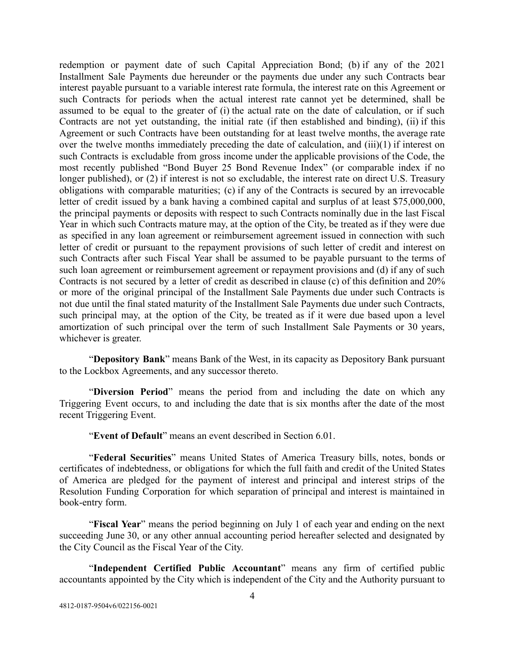redemption or payment date of such Capital Appreciation Bond; (b) if any of the 2021 Installment Sale Payments due hereunder or the payments due under any such Contracts bear interest payable pursuant to a variable interest rate formula, the interest rate on this Agreement or such Contracts for periods when the actual interest rate cannot yet be determined, shall be assumed to be equal to the greater of (i) the actual rate on the date of calculation, or if such Contracts are not yet outstanding, the initial rate (if then established and binding), (ii) if this Agreement or such Contracts have been outstanding for at least twelve months, the average rate over the twelve months immediately preceding the date of calculation, and (iii)(1) if interest on such Contracts is excludable from gross income under the applicable provisions of the Code, the most recently published "Bond Buyer 25 Bond Revenue Index" (or comparable index if no longer published), or (2) if interest is not so excludable, the interest rate on direct U.S. Treasury obligations with comparable maturities; (c) if any of the Contracts is secured by an irrevocable letter of credit issued by a bank having a combined capital and surplus of at least \$75,000,000, the principal payments or deposits with respect to such Contracts nominally due in the last Fiscal Year in which such Contracts mature may, at the option of the City, be treated as if they were due as specified in any loan agreement or reimbursement agreement issued in connection with such letter of credit or pursuant to the repayment provisions of such letter of credit and interest on such Contracts after such Fiscal Year shall be assumed to be payable pursuant to the terms of such loan agreement or reimbursement agreement or repayment provisions and (d) if any of such Contracts is not secured by a letter of credit as described in clause (c) of this definition and 20% or more of the original principal of the Installment Sale Payments due under such Contracts is not due until the final stated maturity of the Installment Sale Payments due under such Contracts, such principal may, at the option of the City, be treated as if it were due based upon a level amortization of such principal over the term of such Installment Sale Payments or 30 years, whichever is greater.

" **Depository Bank** " means Bank of the West, in its capacity as Depository Bank pursuant to the Lockbox Agreements, and any successor thereto.

"Diversion Period" means the period from and including the date on which any Triggering Event occurs, to and including the date that is six months after the date of the most recent Triggering Event.

"**Event of Default**" means an event described in Section 6.01.

"Federal Securities" means United States of America Treasury bills, notes, bonds or certificates of indebtedness, or obligations for which the full faith and credit of the United States of America are pledged for the payment of interest and principal and interest strips of the Resolution Funding Corporation for which separation of principal and interest is maintained in book-entry form.

"**Fiscal Year**" means the period beginning on July 1 of each year and ending on the next succeeding June 30, or any other annual accounting period hereafter selected and designated by the City Council as the Fiscal Year of the City.

"Independent Certified Public Accountant" means any firm of certified public accountants appointed by the City which is independent of the City and the Authority pursuant to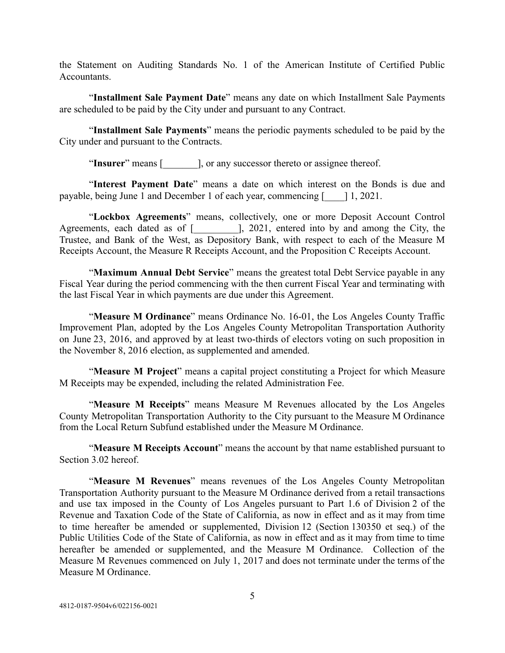the Statement on Auditing Standards No. 1 of the American Institute of Certified Public **Accountants** 

"Installment Sale Payment Date" means any date on which Installment Sale Payments are scheduled to be paid by the City under and pursuant to any Contract.

" **Installment Sale Payments** " means the periodic payments scheduled to be paid by the City under and pursuant to the Contracts.

"Insurer" means [ellectric log any successor thereto or assignee thereof.

"Interest Payment Date" means a date on which interest on the Bonds is due and payable, being June 1 and December 1 of each year, commencing [\_\_\_\_] 1, 2021.

"Lockbox Agreements" means, collectively, one or more Deposit Account Control Agreements, each dated as of [\_\_\_\_\_\_\_\_\_], 2021, entered into by and among the City, the Trustee, and Bank of the West, as Depository Bank, with respect to each of the Measure M Receipts Account, the Measure R Receipts Account, and the Proposition C Receipts Account.

"**Maximum Annual Debt Service**" means the greatest total Debt Service payable in any Fiscal Year during the period commencing with the then current Fiscal Year and terminating with the last Fiscal Year in which payments are due under this Agreement.

"Measure M Ordinance" means Ordinance No. 16-01, the Los Angeles County Traffic Improvement Plan, adopted by the Los Angeles County Metropolitan Transportation Authority on June 23, 2016, and approved by at least two-thirds of electors voting on such proposition in the November 8, 2016 election, as supplemented and amended.

"Measure M Project" means a capital project constituting a Project for which Measure M Receipts may be expended, including the related Administration Fee.

"Measure M Receipts" means Measure M Revenues allocated by the Los Angeles County Metropolitan Transportation Authority to the City pursuant to the Measure M Ordinance from the Local Return Subfund established under the Measure M Ordinance.

"Measure M Receipts Account" means the account by that name established pursuant to Section 3.02 hereof.

"Measure M Revenues" means revenues of the Los Angeles County Metropolitan Transportation Authority pursuant to the Measure M Ordinance derived from a retail transactions and use tax imposed in the County of Los Angeles pursuant to Part 1.6 of Division 2 of the Revenue and Taxation Code of the State of California, as now in effect and as it may from time to time hereafter be amended or supplemented, Division 12 (Section 130350 et seq.) of the Public Utilities Code of the State of California, as now in effect and as it may from time to time hereafter be amended or supplemented, and the Measure M Ordinance. Collection of the Measure M Revenues commenced on July 1, 2017 and does not terminate under the terms of the Measure M Ordinance.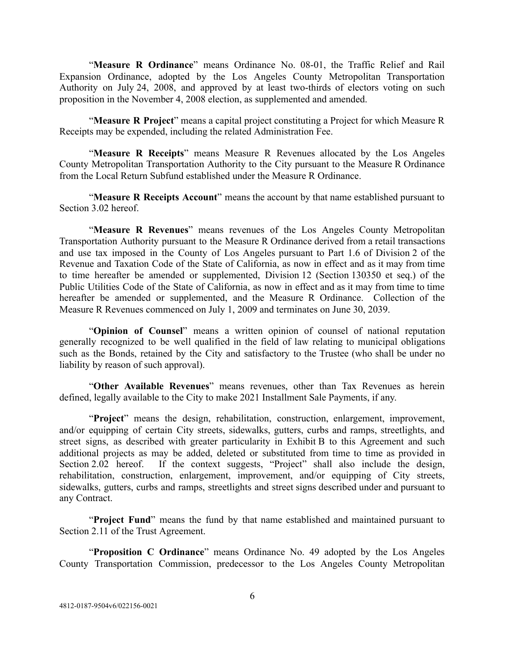"Measure R Ordinance" means Ordinance No. 08-01, the Traffic Relief and Rail Expansion Ordinance, adopted by the Los Angeles County Metropolitan Transportation Authority on July 24, 2008, and approved by at least two-thirds of electors voting on such proposition in the November 4, 2008 election, as supplemented and amended.

"**Measure R Project**" means a capital project constituting a Project for which Measure R Receipts may be expended, including the related Administration Fee.

"Measure R Receipts" means Measure R Revenues allocated by the Los Angeles County Metropolitan Transportation Authority to the City pursuant to the Measure R Ordinance from the Local Return Subfund established under the Measure R Ordinance.

"**Measure R Receipts Account**" means the account by that name established pursuant to Section 3.02 hereof.

"Measure R Revenues" means revenues of the Los Angeles County Metropolitan Transportation Authority pursuant to the Measure R Ordinance derived from a retail transactions and use tax imposed in the County of Los Angeles pursuant to Part 1.6 of Division 2 of the Revenue and Taxation Code of the State of California, as now in effect and as it may from time to time hereafter be amended or supplemented, Division 12 (Section 130350 et seq.) of the Public Utilities Code of the State of California, as now in effect and as it may from time to time hereafter be amended or supplemented, and the Measure R Ordinance. Collection of the Measure R Revenues commenced on July 1, 2009 and terminates on June 30, 2039.

"**Opinion of Counsel**" means a written opinion of counsel of national reputation generally recognized to be well qualified in the field of law relating to municipal obligations such as the Bonds, retained by the City and satisfactory to the Trustee (who shall be under no liability by reason of such approval).

"Other Available Revenues" means revenues, other than Tax Revenues as herein defined, legally available to the City to make 2021 Installment Sale Payments, if any.

"Project" means the design, rehabilitation, construction, enlargement, improvement, and/or equipping of certain City streets, sidewalks, gutters, curbs and ramps, streetlights, and street signs, as described with greater particularity in Exhibit B to this Agreement and such additional projects as may be added, deleted or substituted from time to time as provided in Section 2.02 hereof. If the context suggests, "Project" shall also include the design, rehabilitation, construction, enlargement, improvement, and/or equipping of City streets, sidewalks, gutters, curbs and ramps, streetlights and street signs described under and pursuant to any Contract.

" **Project Fund** " means the fund by that name established and maintained pursuant to Section 2.11 of the Trust Agreement.

"**Proposition C Ordinance**" means Ordinance No. 49 adopted by the Los Angeles County Transportation Commission, predecessor to the Los Angeles County Metropolitan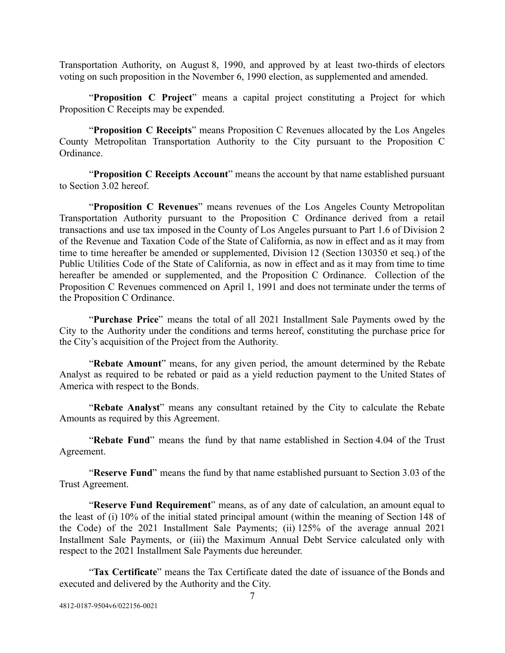Transportation Authority, on August 8, 1990, and approved by at least two-thirds of electors voting on such proposition in the November 6, 1990 election, as supplemented and amended.

"**Proposition C Project**" means a capital project constituting a Project for which Proposition C Receipts may be expended.

"**Proposition C Receipts**" means Proposition C Revenues allocated by the Los Angeles County Metropolitan Transportation Authority to the City pursuant to the Proposition C Ordinance.

"**Proposition C Receipts Account**" means the account by that name established pursuant to Section 3.02 hereof.

"**Proposition C Revenues**" means revenues of the Los Angeles County Metropolitan Transportation Authority pursuant to the Proposition C Ordinance derived from a retail transactions and use tax imposed in the County of Los Angeles pursuant to Part 1.6 of Division 2 of the Revenue and Taxation Code of the State of California, as now in effect and as it may from time to time hereafter be amended or supplemented, Division 12 (Section 130350 et seq.) of the Public Utilities Code of the State of California, as now in effect and as it may from time to time hereafter be amended or supplemented, and the Proposition C Ordinance. Collection of the Proposition C Revenues commenced on April 1, 1991 and does not terminate under the terms of the Proposition C Ordinance.

"Purchase Price" means the total of all 2021 Installment Sale Payments owed by the City to the Authority under the conditions and terms hereof, constituting the purchase price for the City's acquisition of the Project from the Authority.

"Rebate Amount" means, for any given period, the amount determined by the Rebate Analyst as required to be rebated or paid as a yield reduction payment to the United States of America with respect to the Bonds.

"Rebate Analyst" means any consultant retained by the City to calculate the Rebate Amounts as required by this Agreement.

"Rebate Fund" means the fund by that name established in Section 4.04 of the Trust Agreement.

"Reserve Fund" means the fund by that name established pursuant to Section 3.03 of the Trust Agreement.

"Reserve Fund Requirement" means, as of any date of calculation, an amount equal to the least of (i) 10% of the initial stated principal amount (within the meaning of Section 148 of the Code) of the 2021 Installment Sale Payments; (ii) 125% of the average annual 2021 Installment Sale Payments, or (iii) the Maximum Annual Debt Service calculated only with respect to the 2021 Installment Sale Payments due hereunder.

"Tax Certificate" means the Tax Certificate dated the date of issuance of the Bonds and executed and delivered by the Authority and the City.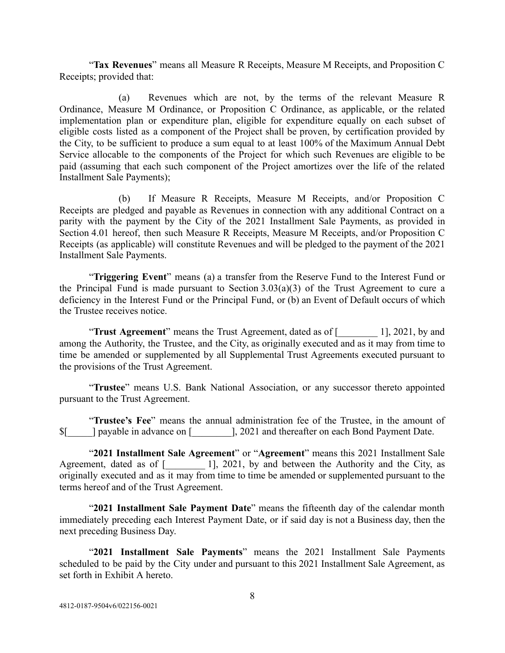" **Tax Revenues** " means all Measure R Receipts, Measure M Receipts, and Proposition C Receipts; provided that:

(a) Revenues which are not, by the terms of the relevant Measure R Ordinance, Measure M Ordinance, or Proposition C Ordinance, as applicable, or the related implementation plan or expenditure plan, eligible for expenditure equally on each subset of eligible costs listed as a component of the Project shall be proven, by certification provided by the City, to be sufficient to produce a sum equal to at least 100% of the Maximum Annual Debt Service allocable to the components of the Project for which such Revenues are eligible to be paid (assuming that each such component of the Project amortizes over the life of the related Installment Sale Payments);

(b) If Measure R Receipts, Measure M Receipts, and/or Proposition C Receipts are pledged and payable as Revenues in connection with any additional Contract on a parity with the payment by the City of the 2021 Installment Sale Payments, as provided in Section 4.01 hereof, then such Measure R Receipts, Measure M Receipts, and/or Proposition C Receipts (as applicable) will constitute Revenues and will be pledged to the payment of the 2021 Installment Sale Payments.

"**Triggering Event**" means (a) a transfer from the Reserve Fund to the Interest Fund or the Principal Fund is made pursuant to Section 3.03(a)(3) of the Trust Agreement to cure a deficiency in the Interest Fund or the Principal Fund, or (b) an Event of Default occurs of which the Trustee receives notice.

"**Trust Agreement**" means the Trust Agreement, dated as of [2021, by and among the Authority, the Trustee, and the City, as originally executed and as it may from time to time be amended or supplemented by all Supplemental Trust Agreements executed pursuant to the provisions of the Trust Agreement.

"Trustee" means U.S. Bank National Association, or any successor thereto appointed pursuant to the Trust Agreement.

" **Trustee's Fee** " means the annual administration fee of the Trustee, in the amount of  $\{\$  | payable in advance on [ ], 2021 and thereafter on each Bond Payment Date.

"2021 Installment Sale Agreement" or "Agreement" means this 2021 Installment Sale Agreement, dated as of  $\lbrack$  [1], 2021, by and between the Authority and the City, as originally executed and as it may from time to time be amended or supplemented pursuant to the terms hereof and of the Trust Agreement.

"2021 Installment Sale Payment Date" means the fifteenth day of the calendar month immediately preceding each Interest Payment Date, or if said day is not a Business day, then the next preceding Business Day.

"2021 Installment Sale Payments" means the 2021 Installment Sale Payments scheduled to be paid by the City under and pursuant to this 2021 Installment Sale Agreement, as set forth in Exhibit A hereto.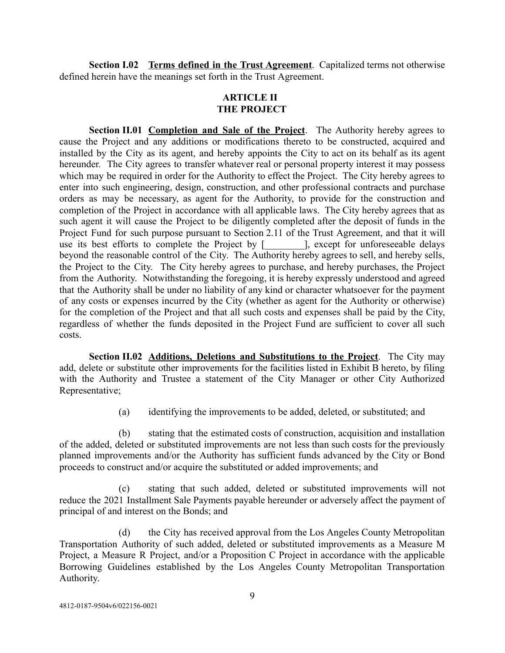<span id="page-11-1"></span><span id="page-11-0"></span>**Section I.02 Terms defined in the Trust Agreement**. Capitalized terms not otherwise defined herein have the meanings set forth in the Trust Agreement.

# **ARTICLE II THE PROJECT**

<span id="page-11-2"></span>**Section II.01 Completion and Sale of the Project.** The Authority hereby agrees to cause the Project and any additions or modifications thereto to be constructed, acquired and installed by the City as its agent, and hereby appoints the City to act on its behalf as its agent hereunder. The City agrees to transfer whatever real or personal property interest it may possess which may be required in order for the Authority to effect the Project. The City hereby agrees to enter into such engineering, design, construction, and other professional contracts and purchase orders as may be necessary, as agent for the Authority, to provide for the construction and completion of the Project in accordance with all applicable laws. The City hereby agrees that as such agent it will cause the Project to be diligently completed after the deposit of funds in the Project Fund for such purpose pursuant to Section 2.11 of the Trust Agreement, and that it will use its best efforts to complete the Project by [ ], except for unforeseeable delays use its best efforts to complete the Project by  $\lceil$ beyond the reasonable control of the City. The Authority hereby agrees to sell, and hereby sells, the Project to the City. The City hereby agrees to purchase, and hereby purchases, the Project from the Authority. Notwithstanding the foregoing, it is hereby expressly understood and agreed that the Authority shall be under no liability of any kind or character whatsoever for the payment of any costs or expenses incurred by the City (whether as agent for the Authority or otherwise) for the completion of the Project and that all such costs and expenses shall be paid by the City, regardless of whether the funds deposited in the Project Fund are sufficient to cover all such costs.

<span id="page-11-3"></span>**Section II.02 Additions, Deletions and Substitutions to the Project.** The City may add, delete or substitute other improvements for the facilities listed in Exhibit B hereto, by filing with the Authority and Trustee a statement of the City Manager or other City Authorized Representative;

(a) identifying the improvements to be added, deleted, or substituted; and

(b) stating that the estimated costs of construction, acquisition and installation of the added, deleted or substituted improvements are not less than such costs for the previously planned improvements and/or the Authority has sufficient funds advanced by the City or Bond proceeds to construct and/or acquire the substituted or added improvements; and

(c) stating that such added, deleted or substituted improvements will not reduce the 2021 Installment Sale Payments payable hereunder or adversely affect the payment of principal of and interest on the Bonds; and

(d) the City has received approval from the Los Angeles County Metropolitan Transportation Authority of such added, deleted or substituted improvements as a Measure M Project, a Measure R Project, and/or a Proposition C Project in accordance with the applicable Borrowing Guidelines established by the Los Angeles County Metropolitan Transportation Authority.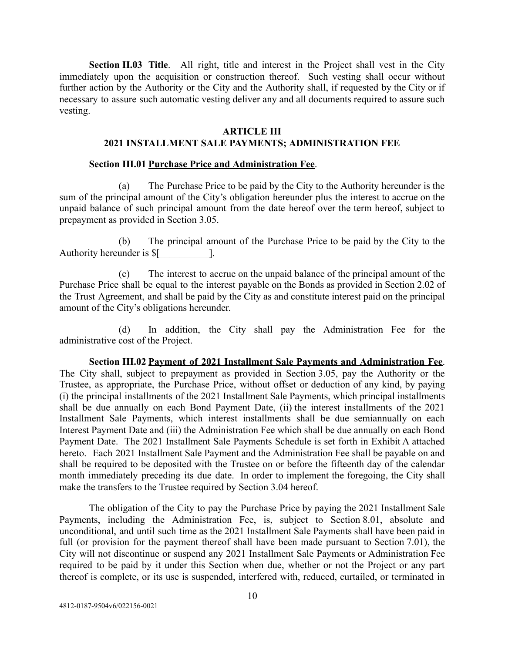<span id="page-12-0"></span>**Section II.03** Title. All right, title and interest in the Project shall vest in the City immediately upon the acquisition or construction thereof. Such vesting shall occur without further action by the Authority or the City and the Authority shall, if requested by the City or if necessary to assure such automatic vesting deliver any and all documents required to assure such vesting.

### **ARTICLE III**

## <span id="page-12-1"></span>**2021 INSTALLMENT SALE PAYMENTS; ADMINISTRATION FEE**

### **Section III.01 Purchase Price and Administration Fee** .

<span id="page-12-2"></span>(a) The Purchase Price to be paid by the City to the Authority hereunder is the sum of the principal amount of the City's obligation hereunder plus the interest to accrue on the unpaid balance of such principal amount from the date hereof over the term hereof, subject to prepayment as provided in Section 3.05.

(b) The principal amount of the Purchase Price to be paid by the City to the Authority hereunder is  $$$ [].

(c) The interest to accrue on the unpaid balance of the principal amount of the Purchase Price shall be equal to the interest payable on the Bonds as provided in Section 2.02 of the Trust Agreement, and shall be paid by the City as and constitute interest paid on the principal amount of the City's obligations hereunder.

(d) In addition, the City shall pay the Administration Fee for the administrative cost of the Project.

<span id="page-12-3"></span>**Section III.02 Payment of 2021 Installment Sale Payments and Administration Fee** . The City shall, subject to prepayment as provided in Section 3.05, pay the Authority or the Trustee, as appropriate, the Purchase Price, without offset or deduction of any kind, by paying (i) the principal installments of the 2021 Installment Sale Payments, which principal installments shall be due annually on each Bond Payment Date, (ii) the interest installments of the 2021 Installment Sale Payments, which interest installments shall be due semiannually on each Interest Payment Date and (iii) the Administration Fee which shall be due annually on each Bond Payment Date. The 2021 Installment Sale Payments Schedule is set forth in Exhibit A attached hereto. Each 2021 Installment Sale Payment and the Administration Fee shall be payable on and shall be required to be deposited with the Trustee on or before the fifteenth day of the calendar month immediately preceding its due date. In order to implement the foregoing, the City shall make the transfers to the Trustee required by Section 3.04 hereof.

The obligation of the City to pay the Purchase Price by paying the 2021 Installment Sale Payments, including the Administration Fee, is, subject to Section 8.01, absolute and unconditional, and until such time as the 2021 Installment Sale Payments shall have been paid in full (or provision for the payment thereof shall have been made pursuant to Section 7.01), the City will not discontinue or suspend any 2021 Installment Sale Payments or Administration Fee required to be paid by it under this Section when due, whether or not the Project or any part thereof is complete, or its use is suspended, interfered with, reduced, curtailed, or terminated in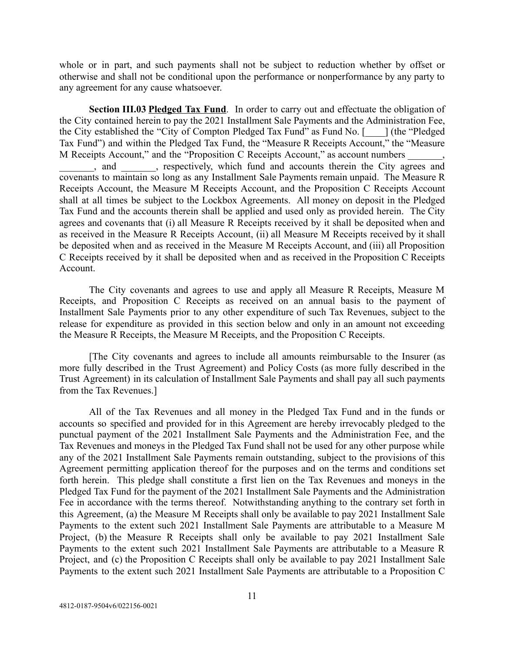whole or in part, and such payments shall not be subject to reduction whether by offset or otherwise and shall not be conditional upon the performance or nonperformance by any party to any agreement for any cause whatsoever.

<span id="page-13-0"></span>**Section III.03 Pledged Tax Fund.** In order to carry out and effectuate the obligation of the City contained herein to pay the 2021 Installment Sale Payments and the Administration Fee, the City established the "City of Compton Pledged Tax Fund" as Fund No. [\_\_\_\_] (the "Pledged Tax Fund") and within the Pledged Tax Fund, the "Measure R Receipts Account," the "Measure M Receipts Account," and the "Proposition C Receipts Account," as account numbers  $\qquad \qquad$ 

\_, and \_\_\_\_\_\_\_, respectively, which fund and accounts therein the City agrees and covenants to maintain so long as any Installment Sale Payments remain unpaid. The Measure R Receipts Account, the Measure M Receipts Account, and the Proposition C Receipts Account shall at all times be subject to the Lockbox Agreements. All money on deposit in the Pledged Tax Fund and the accounts therein shall be applied and used only as provided herein. The City agrees and covenants that (i) all Measure R Receipts received by it shall be deposited when and as received in the Measure R Receipts Account, (ii) all Measure M Receipts received by it shall be deposited when and as received in the Measure M Receipts Account, and (iii) all Proposition C Receipts received by it shall be deposited when and as received in the Proposition C Receipts Account.

The City covenants and agrees to use and apply all Measure R Receipts, Measure M Receipts, and Proposition C Receipts as received on an annual basis to the payment of Installment Sale Payments prior to any other expenditure of such Tax Revenues, subject to the release for expenditure as provided in this section below and only in an amount not exceeding the Measure R Receipts, the Measure M Receipts, and the Proposition C Receipts.

[The City covenants and agrees to include all amounts reimbursable to the Insurer (as more fully described in the Trust Agreement) and Policy Costs (as more fully described in the Trust Agreement) in its calculation of Installment Sale Payments and shall pay all such payments from the Tax Revenues.]

All of the Tax Revenues and all money in the Pledged Tax Fund and in the funds or accounts so specified and provided for in this Agreement are hereby irrevocably pledged to the punctual payment of the 2021 Installment Sale Payments and the Administration Fee, and the Tax Revenues and moneys in the Pledged Tax Fund shall not be used for any other purpose while any of the 2021 Installment Sale Payments remain outstanding, subject to the provisions of this Agreement permitting application thereof for the purposes and on the terms and conditions set forth herein. This pledge shall constitute a first lien on the Tax Revenues and moneys in the Pledged Tax Fund for the payment of the 2021 Installment Sale Payments and the Administration Fee in accordance with the terms thereof. Notwithstanding anything to the contrary set forth in this Agreement, (a) the Measure M Receipts shall only be available to pay 2021 Installment Sale Payments to the extent such 2021 Installment Sale Payments are attributable to a Measure M Project, (b) the Measure R Receipts shall only be available to pay 2021 Installment Sale Payments to the extent such 2021 Installment Sale Payments are attributable to a Measure R Project, and (c) the Proposition C Receipts shall only be available to pay 2021 Installment Sale Payments to the extent such 2021 Installment Sale Payments are attributable to a Proposition C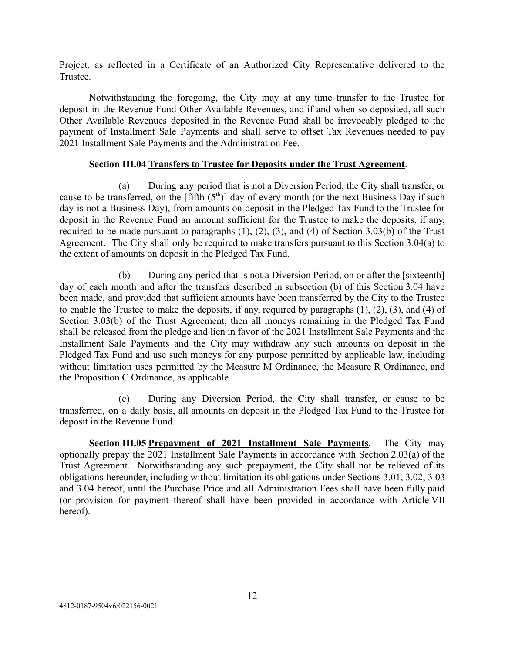Project, as reflected in a Certificate of an Authorized City Representative delivered to the Trustee.

Notwithstanding the foregoing, the City may at any time transfer to the Trustee for deposit in the Revenue Fund Other Available Revenues, and if and when so deposited, all such Other Available Revenues deposited in the Revenue Fund shall be irrevocably pledged to the payment of Installment Sale Payments and shall serve to offset Tax Revenues needed to pay 2021 Installment Sale Payments and the Administration Fee.

### **Section III.04 Transfers to Trustee for Deposits under the Trust Agreement** .

<span id="page-14-0"></span>(a) During any period that is not a Diversion Period, the City shall transfer, or cause to be transferred, on the [fifth  $(5<sup>th</sup>)$ ] day of every month (or the next Business Day if such day is not a Business Day), from amounts on deposit in the Pledged Tax Fund to the Trustee for deposit in the Revenue Fund an amount sufficient for the Trustee to make the deposits, if any, required to be made pursuant to paragraphs  $(1)$ ,  $(2)$ ,  $(3)$ , and  $(4)$  of Section 3.03(b) of the Trust Agreement. The City shall only be required to make transfers pursuant to this Section 3.04(a) to the extent of amounts on deposit in the Pledged Tax Fund.

(b) During any period that is not a Diversion Period, on or after the [sixteenth] day of each month and after the transfers described in subsection (b) of this Section 3.04 have been made, and provided that sufficient amounts have been transferred by the City to the Trustee to enable the Trustee to make the deposits, if any, required by paragraphs (1), (2), (3), and (4) of Section 3.03(b) of the Trust Agreement, then all moneys remaining in the Pledged Tax Fund shall be released from the pledge and lien in favor of the 2021 Installment Sale Payments and the Installment Sale Payments and the City may withdraw any such amounts on deposit in the Pledged Tax Fund and use such moneys for any purpose permitted by applicable law, including without limitation uses permitted by the Measure M Ordinance, the Measure R Ordinance, and the Proposition C Ordinance, as applicable.

(c) During any Diversion Period, the City shall transfer, or cause to be transferred, on a daily basis, all amounts on deposit in the Pledged Tax Fund to the Trustee for deposit in the Revenue Fund.

<span id="page-14-1"></span>**Section III.05 <u>Prepayment of 2021</u> Installment Sale Payments**. The City may optionally prepay the 2021 Installment Sale Payments in accordance with Section 2.03(a) of the Trust Agreement. Notwithstanding any such prepayment, the City shall not be relieved of its obligations hereunder, including without limitation its obligations under Sections 3.01, 3.02, 3.03 and 3.04 hereof, until the Purchase Price and all Administration Fees shall have been fully paid (or provision for payment thereof shall have been provided in accordance with Article VII hereof).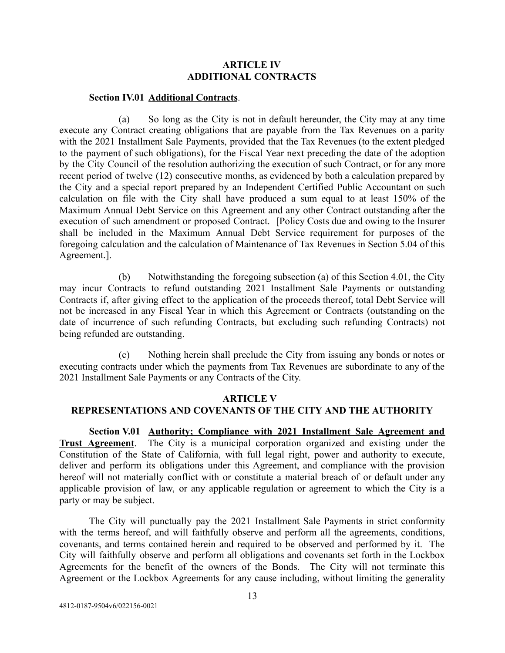## **ARTICLE IV ADDITIONAL CONTRACTS**

### <span id="page-15-0"></span>**Section IV.01 Additional Contracts** .

<span id="page-15-1"></span>(a) So long as the City is not in default hereunder, the City may at any time execute any Contract creating obligations that are payable from the Tax Revenues on a parity with the 2021 Installment Sale Payments, provided that the Tax Revenues (to the extent pledged to the payment of such obligations), for the Fiscal Year next preceding the date of the adoption by the City Council of the resolution authorizing the execution of such Contract, or for any more recent period of twelve (12) consecutive months, as evidenced by both a calculation prepared by the City and a special report prepared by an Independent Certified Public Accountant on such calculation on file with the City shall have produced a sum equal to at least 150% of the Maximum Annual Debt Service on this Agreement and any other Contract outstanding after the execution of such amendment or proposed Contract. [Policy Costs due and owing to the Insurer shall be included in the Maximum Annual Debt Service requirement for purposes of the foregoing calculation and the calculation of Maintenance of Tax Revenues in Section 5.04 of this Agreement.].

(b) Notwithstanding the foregoing subsection (a) of this Section 4.01, the City may incur Contracts to refund outstanding 2021 Installment Sale Payments or outstanding Contracts if, after giving effect to the application of the proceeds thereof, total Debt Service will not be increased in any Fiscal Year in which this Agreement or Contracts (outstanding on the date of incurrence of such refunding Contracts, but excluding such refunding Contracts) not being refunded are outstanding.

(c) Nothing herein shall preclude the City from issuing any bonds or notes or executing contracts under which the payments from Tax Revenues are subordinate to any of the 2021 Installment Sale Payments or any Contracts of the City.

### **ARTICLE V**

## <span id="page-15-2"></span>**REPRESENTATIONS AND COVENANTS OF THE CITY AND THE AUTHORITY**

<span id="page-15-3"></span>**Section V.01 Authority; Compliance with 2021 Installment Sale Agreement and Trust Agreement**. The City is a municipal corporation organized and existing under the Constitution of the State of California, with full legal right, power and authority to execute, deliver and perform its obligations under this Agreement, and compliance with the provision hereof will not materially conflict with or constitute a material breach of or default under any applicable provision of law, or any applicable regulation or agreement to which the City is a party or may be subject.

The City will punctually pay the 2021 Installment Sale Payments in strict conformity with the terms hereof, and will faithfully observe and perform all the agreements, conditions, covenants, and terms contained herein and required to be observed and performed by it. The City will faithfully observe and perform all obligations and covenants set forth in the Lockbox Agreements for the benefit of the owners of the Bonds. The City will not terminate this Agreement or the Lockbox Agreements for any cause including, without limiting the generality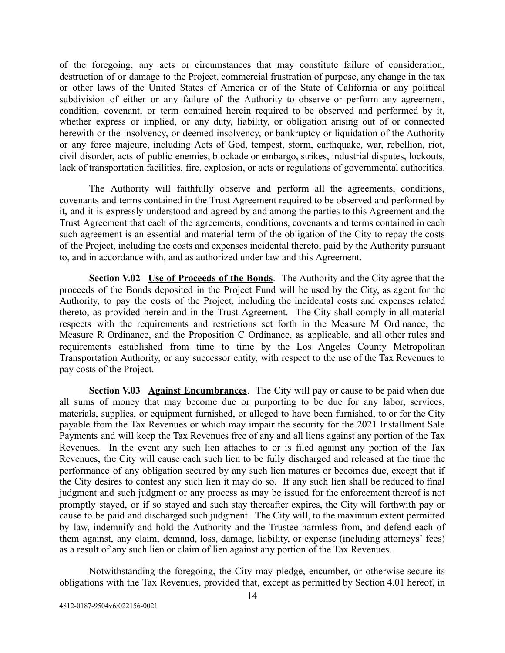of the foregoing, any acts or circumstances that may constitute failure of consideration, destruction of or damage to the Project, commercial frustration of purpose, any change in the tax or other laws of the United States of America or of the State of California or any political subdivision of either or any failure of the Authority to observe or perform any agreement, condition, covenant, or term contained herein required to be observed and performed by it, whether express or implied, or any duty, liability, or obligation arising out of or connected herewith or the insolvency, or deemed insolvency, or bankruptcy or liquidation of the Authority or any force majeure, including Acts of God, tempest, storm, earthquake, war, rebellion, riot, civil disorder, acts of public enemies, blockade or embargo, strikes, industrial disputes, lockouts, lack of transportation facilities, fire, explosion, or acts or regulations of governmental authorities.

The Authority will faithfully observe and perform all the agreements, conditions, covenants and terms contained in the Trust Agreement required to be observed and performed by it, and it is expressly understood and agreed by and among the parties to this Agreement and the Trust Agreement that each of the agreements, conditions, covenants and terms contained in each such agreement is an essential and material term of the obligation of the City to repay the costs of the Project, including the costs and expenses incidental thereto, paid by the Authority pursuant to, and in accordance with, and as authorized under law and this Agreement.

<span id="page-16-0"></span>**Section V.02 Use of Proceeds of the Bonds**. The Authority and the City agree that the proceeds of the Bonds deposited in the Project Fund will be used by the City, as agent for the Authority, to pay the costs of the Project, including the incidental costs and expenses related thereto, as provided herein and in the Trust Agreement. The City shall comply in all material respects with the requirements and restrictions set forth in the Measure M Ordinance, the Measure R Ordinance, and the Proposition C Ordinance, as applicable, and all other rules and requirements established from time to time by the Los Angeles County Metropolitan Transportation Authority, or any successor entity, with respect to the use of the Tax Revenues to pay costs of the Project.

<span id="page-16-1"></span>**Section V.03 Against Encumbrances**. The City will pay or cause to be paid when due all sums of money that may become due or purporting to be due for any labor, services, materials, supplies, or equipment furnished, or alleged to have been furnished, to or for the City payable from the Tax Revenues or which may impair the security for the 2021 Installment Sale Payments and will keep the Tax Revenues free of any and all liens against any portion of the Tax Revenues. In the event any such lien attaches to or is filed against any portion of the Tax Revenues, the City will cause each such lien to be fully discharged and released at the time the performance of any obligation secured by any such lien matures or becomes due, except that if the City desires to contest any such lien it may do so. If any such lien shall be reduced to final judgment and such judgment or any process as may be issued for the enforcement thereof is not promptly stayed, or if so stayed and such stay thereafter expires, the City will forthwith pay or cause to be paid and discharged such judgment. The City will, to the maximum extent permitted by law, indemnify and hold the Authority and the Trustee harmless from, and defend each of them against, any claim, demand, loss, damage, liability, or expense (including attorneys' fees) as a result of any such lien or claim of lien against any portion of the Tax Revenues.

Notwithstanding the foregoing, the City may pledge, encumber, or otherwise secure its obligations with the Tax Revenues, provided that, except as permitted by Section 4.01 hereof, in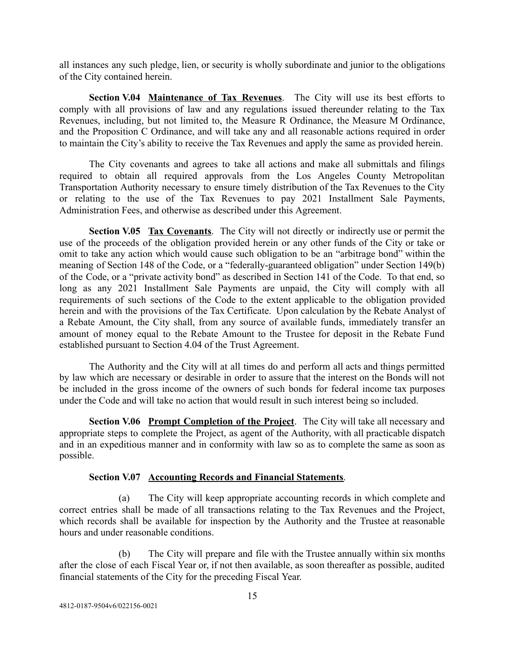all instances any such pledge, lien, or security is wholly subordinate and junior to the obligations of the City contained herein.

<span id="page-17-0"></span>**Section V.04 Maintenance of Tax Revenues**. The City will use its best efforts to comply with all provisions of law and any regulations issued thereunder relating to the Tax Revenues, including, but not limited to, the Measure R Ordinance, the Measure M Ordinance, and the Proposition C Ordinance, and will take any and all reasonable actions required in order to maintain the City's ability to receive the Tax Revenues and apply the same as provided herein.

The City covenants and agrees to take all actions and make all submittals and filings required to obtain all required approvals from the Los Angeles County Metropolitan Transportation Authority necessary to ensure timely distribution of the Tax Revenues to the City or relating to the use of the Tax Revenues to pay 2021 Installment Sale Payments, Administration Fees, and otherwise as described under this Agreement.

<span id="page-17-1"></span>**Section V.05 Tax Covenants**. The City will not directly or indirectly use or permit the use of the proceeds of the obligation provided herein or any other funds of the City or take or omit to take any action which would cause such obligation to be an "arbitrage bond" within the meaning of Section 148 of the Code, or a "federally-guaranteed obligation" under Section 149(b) of the Code, or a "private activity bond" as described in Section 141 of the Code. To that end, so long as any 2021 Installment Sale Payments are unpaid, the City will comply with all requirements of such sections of the Code to the extent applicable to the obligation provided herein and with the provisions of the Tax Certificate. Upon calculation by the Rebate Analyst of a Rebate Amount, the City shall, from any source of available funds, immediately transfer an amount of money equal to the Rebate Amount to the Trustee for deposit in the Rebate Fund established pursuant to Section 4.04 of the Trust Agreement.

The Authority and the City will at all times do and perform all acts and things permitted by law which are necessary or desirable in order to assure that the interest on the Bonds will not be included in the gross income of the owners of such bonds for federal income tax purposes under the Code and will take no action that would result in such interest being so included.

<span id="page-17-2"></span>**Section V.06 Prompt Completion of the Project**. The City will take all necessary and appropriate steps to complete the Project, as agent of the Authority, with all practicable dispatch and in an expeditious manner and in conformity with law so as to complete the same as soon as possible.

## **Section V.07 Accounting Records and Financial Statements** .

<span id="page-17-3"></span>(a) The City will keep appropriate accounting records in which complete and correct entries shall be made of all transactions relating to the Tax Revenues and the Project, which records shall be available for inspection by the Authority and the Trustee at reasonable hours and under reasonable conditions.

(b) The City will prepare and file with the Trustee annually within six months after the close of each Fiscal Year or, if not then available, as soon thereafter as possible, audited financial statements of the City for the preceding Fiscal Year.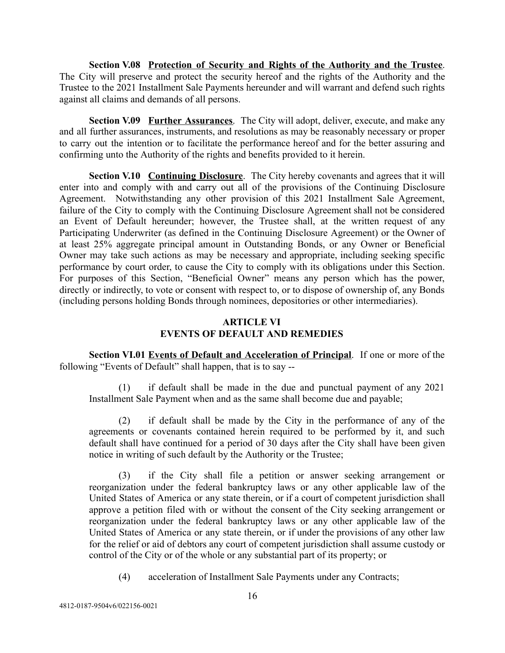<span id="page-18-0"></span>**Section V.08 Protection of Security and Rights of the Authority and the Trustee** . The City will preserve and protect the security hereof and the rights of the Authority and the Trustee to the 2021 Installment Sale Payments hereunder and will warrant and defend such rights against all claims and demands of all persons.

<span id="page-18-1"></span>**Section V.09 Further Assurances** . The City will adopt, deliver, execute, and make any and all further assurances, instruments, and resolutions as may be reasonably necessary or proper to carry out the intention or to facilitate the performance hereof and for the better assuring and confirming unto the Authority of the rights and benefits provided to it herein.

<span id="page-18-2"></span>**Section V.10 Continuing Disclosure.** The City hereby covenants and agrees that it will enter into and comply with and carry out all of the provisions of the Continuing Disclosure Agreement. Notwithstanding any other provision of this 2021 Installment Sale Agreement, failure of the City to comply with the Continuing Disclosure Agreement shall not be considered an Event of Default hereunder; however, the Trustee shall, at the written request of any Participating Underwriter (as defined in the Continuing Disclosure Agreement) or the Owner of at least 25% aggregate principal amount in Outstanding Bonds, or any Owner or Beneficial Owner may take such actions as may be necessary and appropriate, including seeking specific performance by court order, to cause the City to comply with its obligations under this Section. For purposes of this Section, "Beneficial Owner" means any person which has the power, directly or indirectly, to vote or consent with respect to, or to dispose of ownership of, any Bonds (including persons holding Bonds through nominees, depositories or other intermediaries).

# **ARTICLE VI EVENTS OF DEFAULT AND REMEDIES**

<span id="page-18-4"></span><span id="page-18-3"></span>**Section VI.01 Events of Default and Acceleration of Principal.** If one or more of the following "Events of Default" shall happen, that is to say --

(1) if default shall be made in the due and punctual payment of any 2021 Installment Sale Payment when and as the same shall become due and payable;

(2) if default shall be made by the City in the performance of any of the agreements or covenants contained herein required to be performed by it, and such default shall have continued for a period of 30 days after the City shall have been given notice in writing of such default by the Authority or the Trustee;

(3) if the City shall file a petition or answer seeking arrangement or reorganization under the federal bankruptcy laws or any other applicable law of the United States of America or any state therein, or if a court of competent jurisdiction shall approve a petition filed with or without the consent of the City seeking arrangement or reorganization under the federal bankruptcy laws or any other applicable law of the United States of America or any state therein, or if under the provisions of any other law for the relief or aid of debtors any court of competent jurisdiction shall assume custody or control of the City or of the whole or any substantial part of its property; or

(4) acceleration of Installment Sale Payments under any Contracts;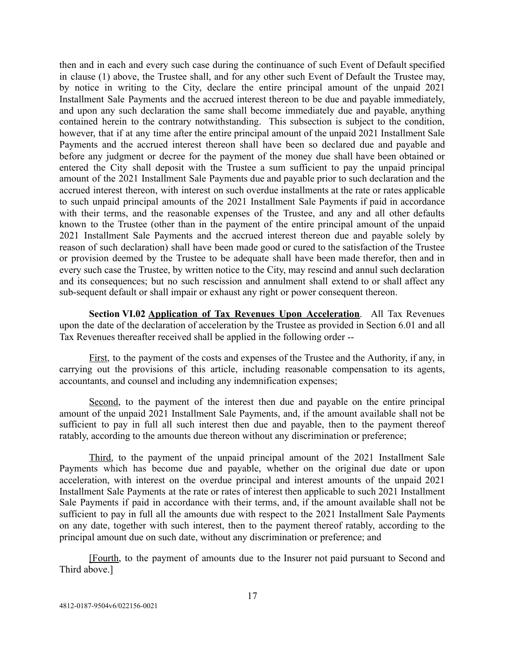then and in each and every such case during the continuance of such Event of Default specified in clause (1) above, the Trustee shall, and for any other such Event of Default the Trustee may, by notice in writing to the City, declare the entire principal amount of the unpaid 2021 Installment Sale Payments and the accrued interest thereon to be due and payable immediately, and upon any such declaration the same shall become immediately due and payable, anything contained herein to the contrary notwithstanding. This subsection is subject to the condition, however, that if at any time after the entire principal amount of the unpaid 2021 Installment Sale Payments and the accrued interest thereon shall have been so declared due and payable and before any judgment or decree for the payment of the money due shall have been obtained or entered the City shall deposit with the Trustee a sum sufficient to pay the unpaid principal amount of the 2021 Installment Sale Payments due and payable prior to such declaration and the accrued interest thereon, with interest on such overdue installments at the rate or rates applicable to such unpaid principal amounts of the 2021 Installment Sale Payments if paid in accordance with their terms, and the reasonable expenses of the Trustee, and any and all other defaults known to the Trustee (other than in the payment of the entire principal amount of the unpaid 2021 Installment Sale Payments and the accrued interest thereon due and payable solely by reason of such declaration) shall have been made good or cured to the satisfaction of the Trustee or provision deemed by the Trustee to be adequate shall have been made therefor, then and in every such case the Trustee, by written notice to the City, may rescind and annul such declaration and its consequences; but no such rescission and annulment shall extend to or shall affect any sub-sequent default or shall impair or exhaust any right or power consequent thereon.

<span id="page-19-0"></span>**Section VI.02 Application of Tax Revenues Upon Acceleration.** All Tax Revenues upon the date of the declaration of acceleration by the Trustee as provided in Section 6.01 and all Tax Revenues thereafter received shall be applied in the following order --

First, to the payment of the costs and expenses of the Trustee and the Authority, if any, in carrying out the provisions of this article, including reasonable compensation to its agents, accountants, and counsel and including any indemnification expenses;

Second, to the payment of the interest then due and payable on the entire principal amount of the unpaid 2021 Installment Sale Payments, and, if the amount available shall not be sufficient to pay in full all such interest then due and payable, then to the payment thereof ratably, according to the amounts due thereon without any discrimination or preference;

Third, to the payment of the unpaid principal amount of the 2021 Installment Sale Payments which has become due and payable, whether on the original due date or upon acceleration, with interest on the overdue principal and interest amounts of the unpaid 2021 Installment Sale Payments at the rate or rates of interest then applicable to such 2021 Installment Sale Payments if paid in accordance with their terms, and, if the amount available shall not be sufficient to pay in full all the amounts due with respect to the 2021 Installment Sale Payments on any date, together with such interest, then to the payment thereof ratably, according to the principal amount due on such date, without any discrimination or preference; and

[Fourth , to the payment of amounts due to the Insurer not paid pursuant to Second and Third above.]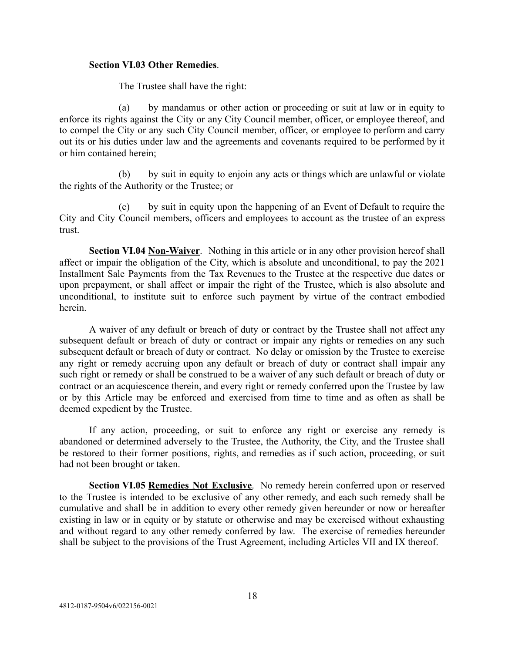### <span id="page-20-0"></span>**Section VI.03 Other Remedies** .

The Trustee shall have the right:

(a) by mandamus or other action or proceeding or suit at law or in equity to enforce its rights against the City or any City Council member, officer, or employee thereof, and to compel the City or any such City Council member, officer, or employee to perform and carry out its or his duties under law and the agreements and covenants required to be performed by it or him contained herein;

(b) by suit in equity to enjoin any acts or things which are unlawful or violate the rights of the Authority or the Trustee; or

(c) by suit in equity upon the happening of an Event of Default to require the City and City Council members, officers and employees to account as the trustee of an express trust.

<span id="page-20-1"></span>**Section VI.04 <u>Non-Waiver</u>**. Nothing in this article or in any other provision hereof shall affect or impair the obligation of the City, which is absolute and unconditional, to pay the 2021 Installment Sale Payments from the Tax Revenues to the Trustee at the respective due dates or upon prepayment, or shall affect or impair the right of the Trustee, which is also absolute and unconditional, to institute suit to enforce such payment by virtue of the contract embodied herein.

A waiver of any default or breach of duty or contract by the Trustee shall not affect any subsequent default or breach of duty or contract or impair any rights or remedies on any such subsequent default or breach of duty or contract. No delay or omission by the Trustee to exercise any right or remedy accruing upon any default or breach of duty or contract shall impair any such right or remedy or shall be construed to be a waiver of any such default or breach of duty or contract or an acquiescence therein, and every right or remedy conferred upon the Trustee by law or by this Article may be enforced and exercised from time to time and as often as shall be deemed expedient by the Trustee.

If any action, proceeding, or suit to enforce any right or exercise any remedy is abandoned or determined adversely to the Trustee, the Authority, the City, and the Trustee shall be restored to their former positions, rights, and remedies as if such action, proceeding, or suit had not been brought or taken.

<span id="page-20-2"></span>**Section VI.05 Remedies Not Exclusive.** No remedy herein conferred upon or reserved to the Trustee is intended to be exclusive of any other remedy, and each such remedy shall be cumulative and shall be in addition to every other remedy given hereunder or now or hereafter existing in law or in equity or by statute or otherwise and may be exercised without exhausting and without regard to any other remedy conferred by law. The exercise of remedies hereunder shall be subject to the provisions of the Trust Agreement, including Articles VII and IX thereof.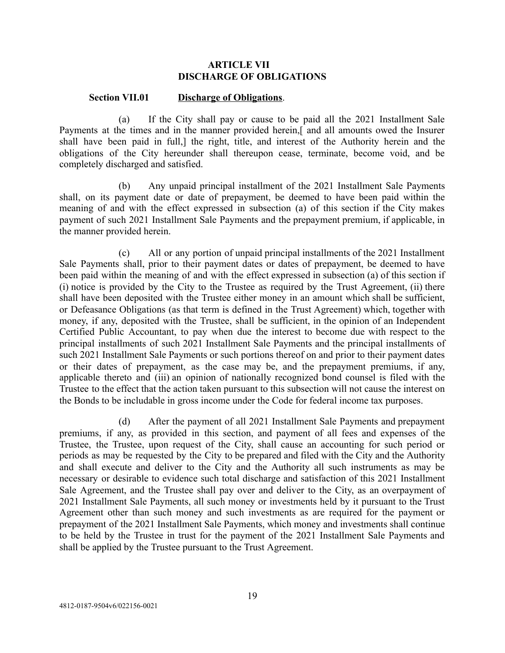## **ARTICLE VII DISCHARGE OF OBLIGATIONS**

#### <span id="page-21-0"></span>**Section VII.01 Discharge of Obligations** .

<span id="page-21-1"></span>(a) If the City shall pay or cause to be paid all the 2021 Installment Sale Payments at the times and in the manner provided herein,[ and all amounts owed the Insurer shall have been paid in full,] the right, title, and interest of the Authority herein and the obligations of the City hereunder shall thereupon cease, terminate, become void, and be completely discharged and satisfied.

(b) Any unpaid principal installment of the 2021 Installment Sale Payments shall, on its payment date or date of prepayment, be deemed to have been paid within the meaning of and with the effect expressed in subsection (a) of this section if the City makes payment of such 2021 Installment Sale Payments and the prepayment premium, if applicable, in the manner provided herein.

(c) All or any portion of unpaid principal installments of the 2021 Installment Sale Payments shall, prior to their payment dates or dates of prepayment, be deemed to have been paid within the meaning of and with the effect expressed in subsection (a) of this section if (i) notice is provided by the City to the Trustee as required by the Trust Agreement, (ii) there shall have been deposited with the Trustee either money in an amount which shall be sufficient, or Defeasance Obligations (as that term is defined in the Trust Agreement) which, together with money, if any, deposited with the Trustee, shall be sufficient, in the opinion of an Independent Certified Public Accountant, to pay when due the interest to become due with respect to the principal installments of such 2021 Installment Sale Payments and the principal installments of such 2021 Installment Sale Payments or such portions thereof on and prior to their payment dates or their dates of prepayment, as the case may be, and the prepayment premiums, if any, applicable thereto and (iii) an opinion of nationally recognized bond counsel is filed with the Trustee to the effect that the action taken pursuant to this subsection will not cause the interest on the Bonds to be includable in gross income under the Code for federal income tax purposes.

(d) After the payment of all 2021 Installment Sale Payments and prepayment premiums, if any, as provided in this section, and payment of all fees and expenses of the Trustee, the Trustee, upon request of the City, shall cause an accounting for such period or periods as may be requested by the City to be prepared and filed with the City and the Authority and shall execute and deliver to the City and the Authority all such instruments as may be necessary or desirable to evidence such total discharge and satisfaction of this 2021 Installment Sale Agreement, and the Trustee shall pay over and deliver to the City, as an overpayment of 2021 Installment Sale Payments, all such money or investments held by it pursuant to the Trust Agreement other than such money and such investments as are required for the payment or prepayment of the 2021 Installment Sale Payments, which money and investments shall continue to be held by the Trustee in trust for the payment of the 2021 Installment Sale Payments and shall be applied by the Trustee pursuant to the Trust Agreement.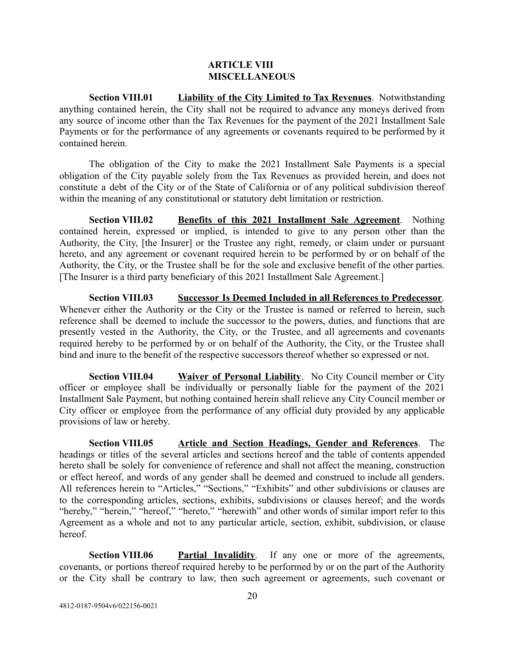### **ARTICLE VIII MISCELLANEOUS**

<span id="page-22-1"></span><span id="page-22-0"></span>**Section VIII.01 Liability of the City Limited to Tax Revenues** . Notwithstanding anything contained herein, the City shall not be required to advance any moneys derived from any source of income other than the Tax Revenues for the payment of the 2021 Installment Sale Payments or for the performance of any agreements or covenants required to be performed by it contained herein.

The obligation of the City to make the 2021 Installment Sale Payments is a special obligation of the City payable solely from the Tax Revenues as provided herein, and does not constitute a debt of the City or of the State of California or of any political subdivision thereof within the meaning of any constitutional or statutory debt limitation or restriction.

<span id="page-22-2"></span>**Section VIII.02 Benefits of this 2021 Installment Sale Agreement** . Nothing contained herein, expressed or implied, is intended to give to any person other than the Authority, the City, [the Insurer] or the Trustee any right, remedy, or claim under or pursuant hereto, and any agreement or covenant required herein to be performed by or on behalf of the Authority, the City, or the Trustee shall be for the sole and exclusive benefit of the other parties. [The Insurer is a third party beneficiary of this 2021 Installment Sale Agreement.]

<span id="page-22-3"></span>**Section VIII.03 Successor Is Deemed Included in all References to Predecessor** . Whenever either the Authority or the City or the Trustee is named or referred to herein, such reference shall be deemed to include the successor to the powers, duties, and functions that are presently vested in the Authority, the City, or the Trustee, and all agreements and covenants required hereby to be performed by or on behalf of the Authority, the City, or the Trustee shall bind and inure to the benefit of the respective successors thereof whether so expressed or not.

<span id="page-22-4"></span>**Section VIII.04 Waiver of Personal Liability**. No City Council member or City officer or employee shall be individually or personally liable for the payment of the 2021 Installment Sale Payment, but nothing contained herein shall relieve any City Council member or City officer or employee from the performance of any official duty provided by any applicable provisions of law or hereby.

<span id="page-22-5"></span>**Section VIII.05 Article and Section Headings, Gender and References** . The headings or titles of the several articles and sections hereof and the table of contents appended hereto shall be solely for convenience of reference and shall not affect the meaning, construction or effect hereof, and words of any gender shall be deemed and construed to include all genders. All references herein to "Articles," "Sections," "Exhibits" and other subdivisions or clauses are to the corresponding articles, sections, exhibits, subdivisions or clauses hereof; and the words "hereby," "herein," "hereof," "hereto," "herewith" and other words of similar import refer to this Agreement as a whole and not to any particular article, section, exhibit, subdivision, or clause hereof.

<span id="page-22-6"></span>**Section VIII.06 Partial Invalidity**. If any one or more of the agreements, covenants, or portions thereof required hereby to be performed by or on the part of the Authority or the City shall be contrary to law, then such agreement or agreements, such covenant or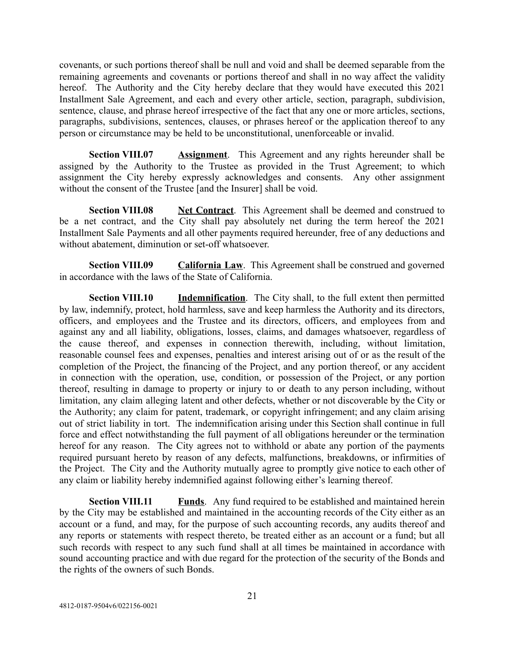covenants, or such portions thereof shall be null and void and shall be deemed separable from the remaining agreements and covenants or portions thereof and shall in no way affect the validity hereof. The Authority and the City hereby declare that they would have executed this 2021 Installment Sale Agreement, and each and every other article, section, paragraph, subdivision, sentence, clause, and phrase hereof irrespective of the fact that any one or more articles, sections, paragraphs, subdivisions, sentences, clauses, or phrases hereof or the application thereof to any person or circumstance may be held to be unconstitutional, unenforceable or invalid.

<span id="page-23-0"></span>**Section VIII.07 Assignment**. This Agreement and any rights hereunder shall be assigned by the Authority to the Trustee as provided in the Trust Agreement; to which assignment the City hereby expressly acknowledges and consents. Any other assignment without the consent of the Trustee [and the Insurer] shall be void.

<span id="page-23-1"></span>**Section VIII.08 Net Contract**. This Agreement shall be deemed and construed to be a net contract, and the City shall pay absolutely net during the term hereof the 2021 Installment Sale Payments and all other payments required hereunder, free of any deductions and without abatement, diminution or set-off whatsoever.

<span id="page-23-2"></span>**Section VIII.09 California Law**. This Agreement shall be construed and governed in accordance with the laws of the State of California.

<span id="page-23-3"></span>**Section VIII.10 Indemnification**. The City shall, to the full extent then permitted by law, indemnify, protect, hold harmless, save and keep harmless the Authority and its directors, officers, and employees and the Trustee and its directors, officers, and employees from and against any and all liability, obligations, losses, claims, and damages whatsoever, regardless of the cause thereof, and expenses in connection therewith, including, without limitation, reasonable counsel fees and expenses, penalties and interest arising out of or as the result of the completion of the Project, the financing of the Project, and any portion thereof, or any accident in connection with the operation, use, condition, or possession of the Project, or any portion thereof, resulting in damage to property or injury to or death to any person including, without limitation, any claim alleging latent and other defects, whether or not discoverable by the City or the Authority; any claim for patent, trademark, or copyright infringement; and any claim arising out of strict liability in tort. The indemnification arising under this Section shall continue in full force and effect notwithstanding the full payment of all obligations hereunder or the termination hereof for any reason. The City agrees not to withhold or abate any portion of the payments required pursuant hereto by reason of any defects, malfunctions, breakdowns, or infirmities of the Project. The City and the Authority mutually agree to promptly give notice to each other of any claim or liability hereby indemnified against following either's learning thereof.

<span id="page-23-4"></span>**Section VIII.11 Funds**. Any fund required to be established and maintained herein by the City may be established and maintained in the accounting records of the City either as an account or a fund, and may, for the purpose of such accounting records, any audits thereof and any reports or statements with respect thereto, be treated either as an account or a fund; but all such records with respect to any such fund shall at all times be maintained in accordance with sound accounting practice and with due regard for the protection of the security of the Bonds and the rights of the owners of such Bonds.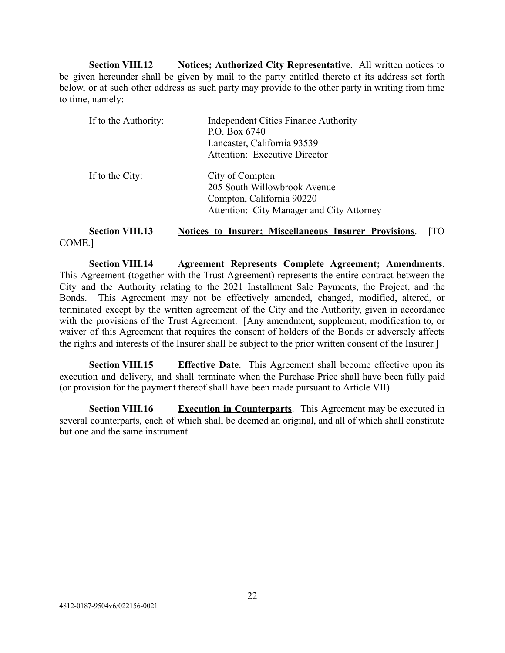<span id="page-24-0"></span>**Section VIII.12 Notices; Authorized City Representative.** All written notices to be given hereunder shall be given by mail to the party entitled thereto at its address set forth below, or at such other address as such party may provide to the other party in writing from time to time, namely:

| If to the Authority: | <b>Independent Cities Finance Authority</b> |  |  |
|----------------------|---------------------------------------------|--|--|
|                      | P.O. Box 6740                               |  |  |
|                      | Lancaster, California 93539                 |  |  |
|                      | <b>Attention: Executive Director</b>        |  |  |
| If to the City:      | City of Compton                             |  |  |
|                      | 205 South Willowbrook Avenue                |  |  |
|                      | Compton, California 90220                   |  |  |
|                      | Attention: City Manager and City Attorney   |  |  |
|                      |                                             |  |  |

<span id="page-24-1"></span>**Section VIII.13 Notices to Insurer; Miscellaneous Insurer Provisions.** [TO COME.]

<span id="page-24-2"></span>**Section VIII.14 Agreement Represents Complete Agreement; Amendments** . This Agreement (together with the Trust Agreement) represents the entire contract between the City and the Authority relating to the 2021 Installment Sale Payments, the Project, and the Bonds. This Agreement may not be effectively amended, changed, modified, altered, or terminated except by the written agreement of the City and the Authority, given in accordance with the provisions of the Trust Agreement. [Any amendment, supplement, modification to, or waiver of this Agreement that requires the consent of holders of the Bonds or adversely affects the rights and interests of the Insurer shall be subject to the prior written consent of the Insurer.]

<span id="page-24-3"></span>**Section VIII.15 Effective Date**. This Agreement shall become effective upon its execution and delivery, and shall terminate when the Purchase Price shall have been fully paid (or provision for the payment thereof shall have been made pursuant to Article VII).

<span id="page-24-4"></span>**Section VIII.16 Execution in Counterparts**. This Agreement may be executed in several counterparts, each of which shall be deemed an original, and all of which shall constitute but one and the same instrument.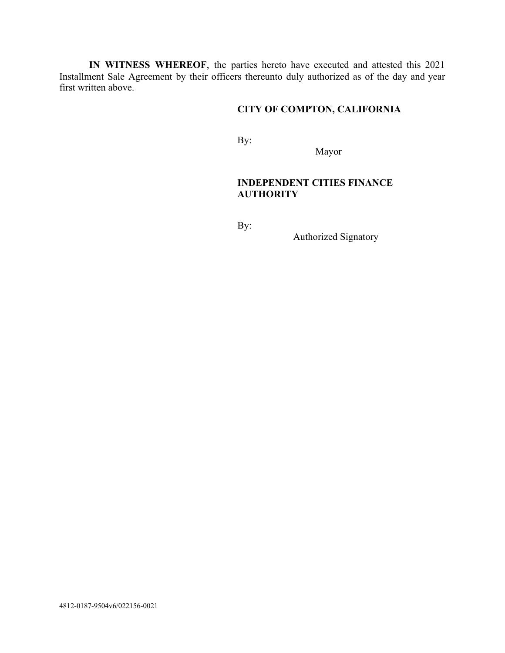**IN WITNESS WHEREOF**, the parties hereto have executed and attested this 2021 Installment Sale Agreement by their officers thereunto duly authorized as of the day and year first written above.

# **CITY OF COMPTON, CALIFORNIA**

By:

Mayor

# **INDEPENDENT CITIES FINANCE AUTHORITY**

By:

Authorized Signatory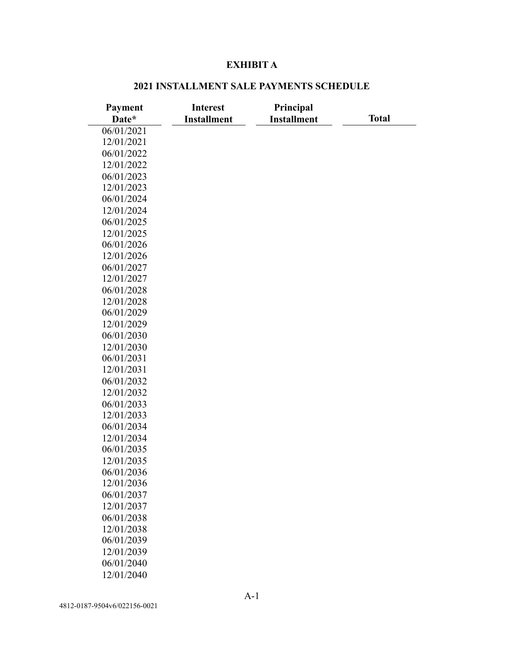### **EXHIBIT A**

### **Payment Date\* Interest Installment Principal Installment Total**  06/01/2021 12/01/2021 06/01/2022 12/01/2022 06/01/2023 12/01/2023 06/01/2024 12/01/2024 06/01/2025 12/01/2025 06/01/2026 12/01/2026 06/01/2027 12/01/2027 06/01/2028 12/01/2028 06/01/2029 12/01/2029 06/01/2030 12/01/2030 06/01/2031 12/01/2031 06/01/2032 12/01/2032 06/01/2033 12/01/2033 06/01/2034 12/01/2034 06/01/2035 12/01/2035 06/01/2036 12/01/2036 06/01/2037 12/01/2037 06/01/2038 12/01/2038 06/01/2039 12/01/2039 06/01/2040 12/01/2040

### **2021 INSTALLMENT SALE PAYMENTS SCHEDULE**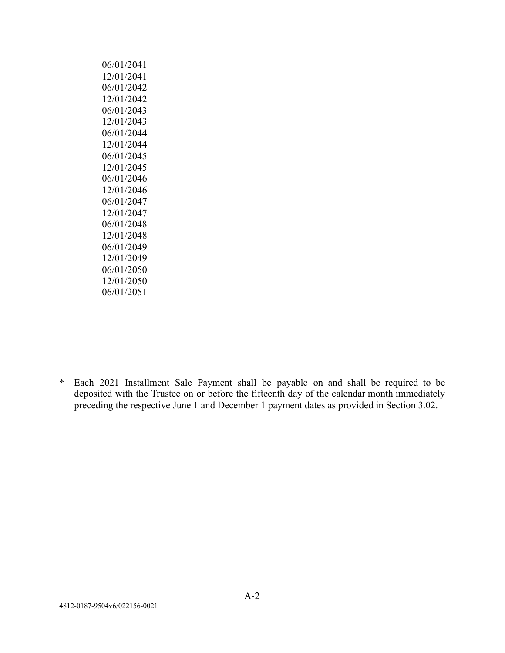| 06/01/2041 |
|------------|
| 12/01/2041 |
| 06/01/2042 |
| 12/01/2042 |
| 06/01/2043 |
| 12/01/2043 |
| 06/01/2044 |
| 12/01/2044 |
| 06/01/2045 |
| 12/01/2045 |
| 06/01/2046 |
| 12/01/2046 |
| 06/01/2047 |
| 12/01/2047 |
| 06/01/2048 |
| 12/01/2048 |
| 06/01/2049 |
| 12/01/2049 |
| 06/01/2050 |
| 12/01/2050 |
| 06/01/2051 |
|            |

\* Each 2021 Installment Sale Payment shall be payable on and shall be required to be deposited with the Trustee on or before the fifteenth day of the calendar month immediately preceding the respective June 1 and December 1 payment dates as provided in Section 3.02.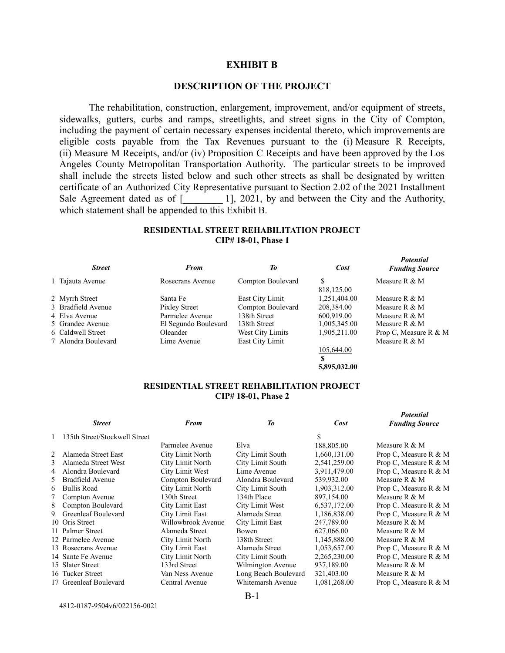#### **EXHIBIT B**

### **DESCRIPTION OF THE PROJECT**

The rehabilitation, construction, enlargement, improvement, and/or equipment of streets, sidewalks, gutters, curbs and ramps, streetlights, and street signs in the City of Compton, including the payment of certain necessary expenses incidental thereto, which improvements are eligible costs payable from the Tax Revenues pursuant to the (i) Measure R Receipts, (ii) Measure M Receipts, and/or (iv) Proposition C Receipts and have been approved by the Los Angeles County Metropolitan Transportation Authority. The particular streets to be improved shall include the streets listed below and such other streets as shall be designated by written certificate of an Authorized City Representative pursuant to Section 2.02 of the 2021 Installment Sale Agreement dated as of  $\lceil \frac{1}{2021} \rceil$ , 2021, by and between the City and the Authority, which statement shall be appended to this Exhibit B.

#### **RESIDENTIAL STREET REHABILITATION PROJECT CIP# 18-01, Phase 1**

*Potential* 

*Potential* 

|  | <b>Street</b>       | From                 | Тo                | Cost            | <b>Funding Source</b> |
|--|---------------------|----------------------|-------------------|-----------------|-----------------------|
|  | 1 Tajauta Avenue    | Rosecrans Avenue     | Compton Boulevard | S<br>818,125.00 | Measure R $&$ M       |
|  | 2 Myrrh Street      | Santa Fe             | East City Limit   | 1,251,404.00    | Measure R $&$ M       |
|  | 3 Bradfield Avenue  | Pixley Street        | Compton Boulevard | 208,384.00      | Measure R $&$ M       |
|  | 4 Elva Avenue       | Parmelee Avenue      | 138th Street      | 600.919.00      | Measure R $&$ M       |
|  | 5 Grandee Avenue    | El Segundo Boulevard | 138th Street      | 1,005,345.00    | Measure R $&$ M       |
|  | 6 Caldwell Street   | Oleander             | West City Limits  | 1,905,211.00    | Prop C, Measure R & M |
|  | 7 Alondra Boulevard | Lime Avenue          | East City Limit   |                 | Measure R $&$ M       |
|  |                     |                      |                   | 105,644.00      |                       |
|  |                     |                      |                   |                 |                       |

#### **RESIDENTIAL STREET REHABILITATION PROJECT CIP# 18-01, Phase 2**

**5,895,032.00** 

|   |                               |                    |                      |              | roieniui              |
|---|-------------------------------|--------------------|----------------------|--------------|-----------------------|
|   | <b>Street</b>                 | From               | То                   | Cost         | <b>Funding Source</b> |
|   | 135th Street/Stockwell Street |                    |                      | \$           |                       |
|   |                               | Parmelee Avenue    | Elva                 | 188,805.00   | Measure R & M         |
|   | Alameda Street East           | City Limit North   | City Limit South     | 1,660,131.00 | Prop C, Measure R & M |
| 3 | Alameda Street West           | City Limit North   | City Limit South     | 2,541,259.00 | Prop C, Measure R & M |
| 4 | Alondra Boulevard             | City Limit West    | Lime Avenue          | 3,911,479.00 | Prop C, Measure R & M |
| 5 | Bradfield Avenue              | Compton Boulevard  | Alondra Boulevard    | 539,932.00   | Measure R $&$ M       |
| 6 | <b>Bullis Road</b>            | City Limit North   | City Limit South     | 1,903,312.00 | Prop C, Measure R & M |
|   | Compton Avenue                | 130th Street       | 134th Place          | 897.154.00   | Measure R $&$ M       |
| 8 | Compton Boulevard             | City Limit East    | City Limit West      | 6,537,172.00 | Prop C. Measure R & M |
| 9 | Greenleaf Boulevard           | City Limit East    | Alameda Street       | 1,186,838.00 | Prop C, Measure R & M |
|   | 10 Oris Street                | Willowbrook Avenue | City Limit East      | 247,789.00   | Measure $R \& M$      |
|   | 11 Palmer Street              | Alameda Street     | Bowen                | 627,066.00   | Measure R & M         |
|   | 12 Parmelee Avenue            | City Limit North   | 138th Street         | 1,145,888.00 | Measure R $&$ M       |
|   | 13 Rosecrans Avenue           | City Limit East    | Alameda Street       | 1,053,657.00 | Prop C, Measure R & M |
|   | 14 Sante Fe Avenue            | City Limit North   | City Limit South     | 2,265,230.00 | Prop C, Measure R & M |
|   | 15 Slater Street              | 133rd Street       | Wilmington Avenue    | 937,189.00   | Measure R & M         |
|   | 16 Tucker Street              | Van Ness Avenue    | Long Beach Boulevard | 321,403.00   | Measure R & M         |
|   | 17 Greenleaf Boulevard        | Central Avenue     | Whitemarsh Avenue    | 1,081,268.00 | Prop C, Measure R & M |
|   |                               |                    |                      |              |                       |

4812-0187-9504v6/022156-0021